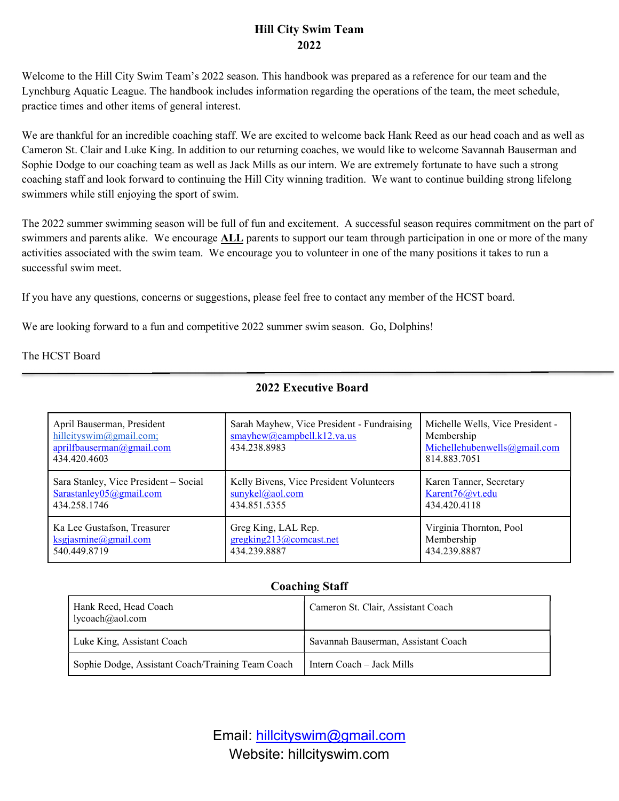## Hill City Swim Team 2022

Welcome to the Hill City Swim Team's 2022 season. This handbook was prepared as a reference for our team and the Lynchburg Aquatic League. The handbook includes information regarding the operations of the team, the meet schedule, practice times and other items of general interest.

We are thankful for an incredible coaching staff. We are excited to welcome back Hank Reed as our head coach and as well as Cameron St. Clair and Luke King. In addition to our returning coaches, we would like to welcome Savannah Bauserman and Sophie Dodge to our coaching team as well as Jack Mills as our intern. We are extremely fortunate to have such a strong coaching staff and look forward to continuing the Hill City winning tradition. We want to continue building strong lifelong swimmers while still enjoying the sport of swim.

The 2022 summer swimming season will be full of fun and excitement. A successful season requires commitment on the part of swimmers and parents alike. We encourage **ALL** parents to support our team through participation in one or more of the many activities associated with the swim team. We encourage you to volunteer in one of the many positions it takes to run a successful swim meet.

If you have any questions, concerns or suggestions, please feel free to contact any member of the HCST board.

We are looking forward to a fun and competitive 2022 summer swim season. Go, Dolphins!

The HCST Board

 $\overline{a}$ 

| April Bauserman, President<br>hillcityswim@gmail.com;<br>aprilfbauserman@gmail.com<br>434.420.4603 | Sarah Mayhew, Vice President - Fundraising<br>smayhew@cambell.k12.va.us<br>434.238.8983 | Michelle Wells, Vice President -<br>Membership<br>Michellehubenwells@gmail.com<br>814.883.7051 |
|----------------------------------------------------------------------------------------------------|-----------------------------------------------------------------------------------------|------------------------------------------------------------------------------------------------|
| Sara Stanley, Vice President - Social                                                              | Kelly Bivens, Vice President Volunteers                                                 | Karen Tanner, Secretary                                                                        |
| Sarastanley $05@g$ mail.com                                                                        | sunykel@aol.com                                                                         | Karent76@vt.edu                                                                                |
| 434.258.1746                                                                                       | 434.851.5355                                                                            | 434.420.4118                                                                                   |
| Ka Lee Gustafson, Treasurer                                                                        | Greg King, LAL Rep.                                                                     | Virginia Thornton, Pool                                                                        |
| ksgjasmine@gmail.com                                                                               | gregking213@comcast.net                                                                 | Membership                                                                                     |
| 540.449.8719                                                                                       | 434.239.8887                                                                            | 434.239.8887                                                                                   |

#### 2022 Executive Board

#### Coaching Staff

| Hank Reed, Head Coach<br>lycoach@aol.com          | Cameron St. Clair, Assistant Coach  |
|---------------------------------------------------|-------------------------------------|
| Luke King, Assistant Coach                        | Savannah Bauserman, Assistant Coach |
| Sophie Dodge, Assistant Coach/Training Team Coach | Intern Coach – Jack Mills           |

Email: hillcityswim@gmail.com Website: hillcityswim.com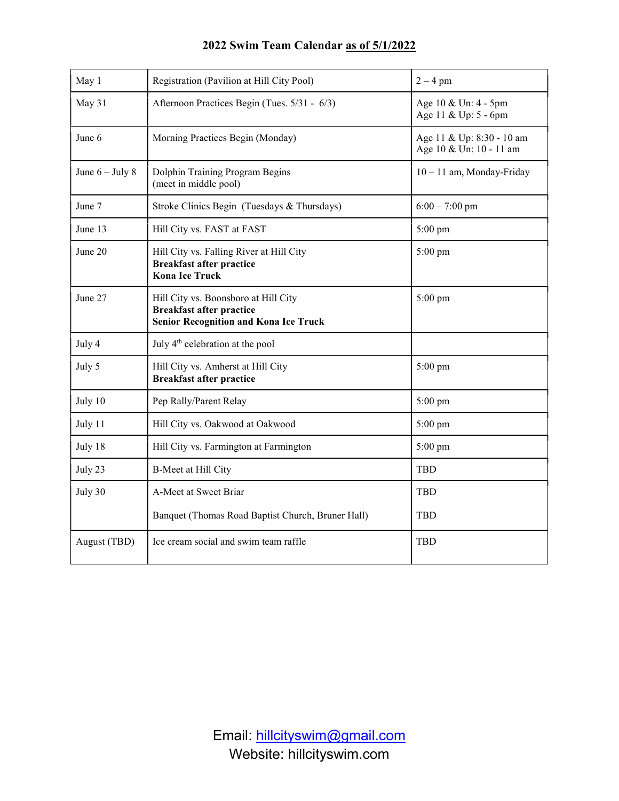| May 1             | Registration (Pavilion at Hill City Pool)                                                                               | $2 - 4$ pm                                           |  |
|-------------------|-------------------------------------------------------------------------------------------------------------------------|------------------------------------------------------|--|
| May 31            | Afternoon Practices Begin (Tues. 5/31 - 6/3)                                                                            | Age 10 & Un: 4 - 5pm<br>Age 11 & Up: 5 - 6pm         |  |
| June 6            | Morning Practices Begin (Monday)                                                                                        | Age 11 & Up: 8:30 - 10 am<br>Age 10 & Un: 10 - 11 am |  |
| June $6 -$ July 8 | Dolphin Training Program Begins<br>10 - 11 am, Monday-Friday<br>(meet in middle pool)                                   |                                                      |  |
| June 7            | Stroke Clinics Begin (Tuesdays & Thursdays)                                                                             | $6:00 - 7:00$ pm                                     |  |
| June 13           | Hill City vs. FAST at FAST                                                                                              | 5:00 pm                                              |  |
| June 20           | Hill City vs. Falling River at Hill City<br>5:00 pm<br><b>Breakfast after practice</b><br><b>Kona Ice Truck</b>         |                                                      |  |
| June 27           | Hill City vs. Boonsboro at Hill City<br><b>Breakfast after practice</b><br><b>Senior Recognition and Kona Ice Truck</b> | 5:00 pm                                              |  |
| July 4            | July 4 <sup>th</sup> celebration at the pool                                                                            |                                                      |  |
| July 5            | Hill City vs. Amherst at Hill City<br><b>Breakfast after practice</b>                                                   | 5:00 pm                                              |  |
| July 10           | Pep Rally/Parent Relay                                                                                                  | 5:00 pm                                              |  |
| July 11           | Hill City vs. Oakwood at Oakwood                                                                                        | $5:00 \text{ pm}$                                    |  |
| July 18           | Hill City vs. Farmington at Farmington                                                                                  | $5:00 \text{ pm}$                                    |  |
| July 23           | B-Meet at Hill City                                                                                                     | <b>TBD</b>                                           |  |
| July 30           | A-Meet at Sweet Briar                                                                                                   | <b>TBD</b>                                           |  |
|                   | Banquet (Thomas Road Baptist Church, Bruner Hall)                                                                       | TBD                                                  |  |
| August (TBD)      | Ice cream social and swim team raffle                                                                                   | TBD                                                  |  |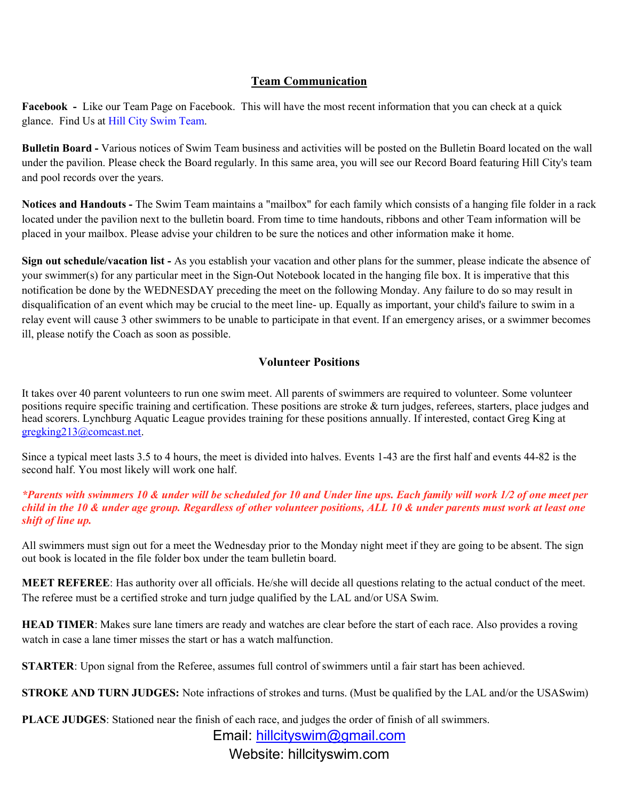#### Team Communication

Facebook - Like our Team Page on Facebook. This will have the most recent information that you can check at a quick glance. Find Us at Hill City Swim Team.

Bulletin Board - Various notices of Swim Team business and activities will be posted on the Bulletin Board located on the wall under the pavilion. Please check the Board regularly. In this same area, you will see our Record Board featuring Hill City's team and pool records over the years.

Notices and Handouts - The Swim Team maintains a "mailbox" for each family which consists of a hanging file folder in a rack located under the pavilion next to the bulletin board. From time to time handouts, ribbons and other Team information will be placed in your mailbox. Please advise your children to be sure the notices and other information make it home.

Sign out schedule/vacation list - As you establish your vacation and other plans for the summer, please indicate the absence of your swimmer(s) for any particular meet in the Sign-Out Notebook located in the hanging file box. It is imperative that this notification be done by the WEDNESDAY preceding the meet on the following Monday. Any failure to do so may result in disqualification of an event which may be crucial to the meet line- up. Equally as important, your child's failure to swim in a relay event will cause 3 other swimmers to be unable to participate in that event. If an emergency arises, or a swimmer becomes ill, please notify the Coach as soon as possible.

## Volunteer Positions

It takes over 40 parent volunteers to run one swim meet. All parents of swimmers are required to volunteer. Some volunteer positions require specific training and certification. These positions are stroke & turn judges, referees, starters, place judges and head scorers. Lynchburg Aquatic League provides training for these positions annually. If interested, contact Greg King at gregking213@comcast.net.

Since a typical meet lasts 3.5 to 4 hours, the meet is divided into halves. Events 1-43 are the first half and events 44-82 is the second half. You most likely will work one half.

\*Parents with swimmers 10 & under will be scheduled for 10 and Under line ups. Each family will work 1/2 of one meet per child in the 10 & under age group. Regardless of other volunteer positions, ALL 10 & under parents must work at least one shift of line up.

All swimmers must sign out for a meet the Wednesday prior to the Monday night meet if they are going to be absent. The sign out book is located in the file folder box under the team bulletin board.

MEET REFEREE: Has authority over all officials. He/she will decide all questions relating to the actual conduct of the meet. The referee must be a certified stroke and turn judge qualified by the LAL and/or USA Swim.

HEAD TIMER: Makes sure lane timers are ready and watches are clear before the start of each race. Also provides a roving watch in case a lane timer misses the start or has a watch malfunction.

STARTER: Upon signal from the Referee, assumes full control of swimmers until a fair start has been achieved.

STROKE AND TURN JUDGES: Note infractions of strokes and turns. (Must be qualified by the LAL and/or the USASwim)

PLACE JUDGES: Stationed near the finish of each race, and judges the order of finish of all swimmers.

Email: hillcityswim@gmail.com

Website: hillcityswim.com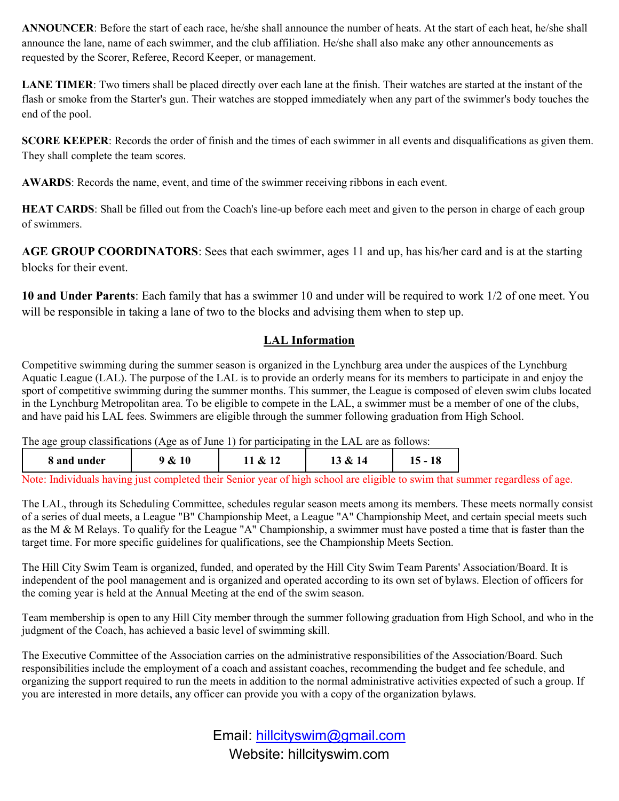ANNOUNCER: Before the start of each race, he/she shall announce the number of heats. At the start of each heat, he/she shall announce the lane, name of each swimmer, and the club affiliation. He/she shall also make any other announcements as requested by the Scorer, Referee, Record Keeper, or management.

LANE TIMER: Two timers shall be placed directly over each lane at the finish. Their watches are started at the instant of the flash or smoke from the Starter's gun. Their watches are stopped immediately when any part of the swimmer's body touches the end of the pool.

SCORE KEEPER: Records the order of finish and the times of each swimmer in all events and disqualifications as given them. They shall complete the team scores.

AWARDS: Records the name, event, and time of the swimmer receiving ribbons in each event.

HEAT CARDS: Shall be filled out from the Coach's line-up before each meet and given to the person in charge of each group of swimmers.

AGE GROUP COORDINATORS: Sees that each swimmer, ages 11 and up, has his/her card and is at the starting blocks for their event.

10 and Under Parents: Each family that has a swimmer 10 and under will be required to work 1/2 of one meet. You will be responsible in taking a lane of two to the blocks and advising them when to step up.

# LAL Information

Competitive swimming during the summer season is organized in the Lynchburg area under the auspices of the Lynchburg Aquatic League (LAL). The purpose of the LAL is to provide an orderly means for its members to participate in and enjoy the sport of competitive swimming during the summer months. This summer, the League is composed of eleven swim clubs located in the Lynchburg Metropolitan area. To be eligible to compete in the LAL, a swimmer must be a member of one of the clubs, and have paid his LAL fees. Swimmers are eligible through the summer following graduation from High School.

The age group classifications (Age as of June 1) for participating in the LAL are as follows:

| 8 and under   | <b>10</b><br>& | &<br>--       | &<br>14<br>⊥ື |  |
|---------------|----------------|---------------|---------------|--|
| $\sim$ $\sim$ |                | $\sim$ $\sim$ | .             |  |

Note: Individuals having just completed their Senior year of high school are eligible to swim that summer regardless of age.

The LAL, through its Scheduling Committee, schedules regular season meets among its members. These meets normally consist of a series of dual meets, a League "B" Championship Meet, a League "A" Championship Meet, and certain special meets such as the M & M Relays. To qualify for the League "A" Championship, a swimmer must have posted a time that is faster than the target time. For more specific guidelines for qualifications, see the Championship Meets Section.

The Hill City Swim Team is organized, funded, and operated by the Hill City Swim Team Parents' Association/Board. It is independent of the pool management and is organized and operated according to its own set of bylaws. Election of officers for the coming year is held at the Annual Meeting at the end of the swim season.

Team membership is open to any Hill City member through the summer following graduation from High School, and who in the judgment of the Coach, has achieved a basic level of swimming skill.

The Executive Committee of the Association carries on the administrative responsibilities of the Association/Board. Such responsibilities include the employment of a coach and assistant coaches, recommending the budget and fee schedule, and organizing the support required to run the meets in addition to the normal administrative activities expected of such a group. If you are interested in more details, any officer can provide you with a copy of the organization bylaws.

> Email: hillcityswim@gmail.com Website: hillcityswim.com